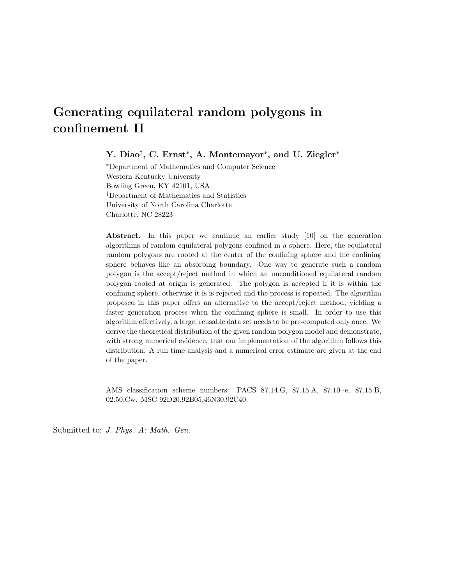# Generating equilateral random polygons in confinement II

Y. Diao<sup>†</sup>, C. Ernst<sup>\*</sup>, A. Montemayor<sup>\*</sup>, and U. Ziegler<sup>\*</sup>

<sup>∗</sup>Department of Mathematics and Computer Science Western Kentucky University Bowling Green, KY 42101, USA †Department of Mathematics and Statistics University of North Carolina Charlotte Charlotte, NC 28223

Abstract. In this paper we continue an earlier study [10] on the generation algorithms of random equilateral polygons confined in a sphere. Here, the equilateral random polygons are rooted at the center of the confining sphere and the confining sphere behaves like an absorbing boundary. One way to generate such a random polygon is the accept/reject method in which an unconditioned equilateral random polygon rooted at origin is generated. The polygon is accepted if it is within the confining sphere, otherwise it is is rejected and the process is repeated. The algorithm proposed in this paper offers an alternative to the accept/reject method, yielding a faster generation process when the confining sphere is small. In order to use this algorithm effectively, a large, reusable data set needs to be pre-computed only once. We derive the theoretical distribution of the given random polygon model and demonstrate, with strong numerical evidence, that our implementation of the algorithm follows this distribution. A run time analysis and a numerical error estimate are given at the end of the paper.

AMS classification scheme numbers: PACS 87.14.G, 87.15.A, 87.10.-e, 87.15.B, 02.50.Cw. MSC 92D20,92B05,46N30,92C40.

Submitted to: J. Phys. A: Math. Gen.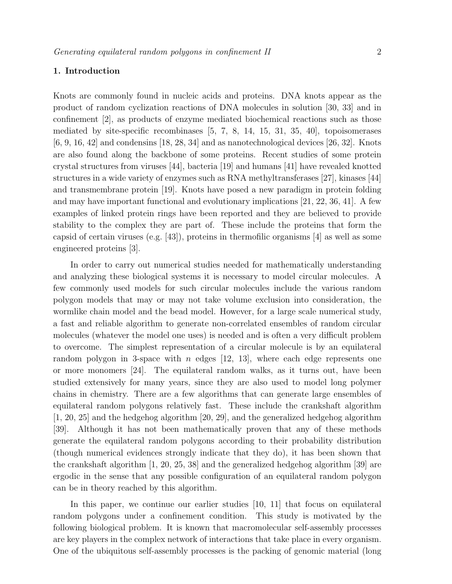### 1. Introduction

Knots are commonly found in nucleic acids and proteins. DNA knots appear as the product of random cyclization reactions of DNA molecules in solution [30, 33] and in confinement [2], as products of enzyme mediated biochemical reactions such as those mediated by site-specific recombinases [5, 7, 8, 14, 15, 31, 35, 40], topoisomerases  $[6, 9, 16, 42]$  and condensins  $[18, 28, 34]$  and as nanotechnological devices  $[26, 32]$ . Knots are also found along the backbone of some proteins. Recent studies of some protein crystal structures from viruses [44], bacteria [19] and humans [41] have revealed knotted structures in a wide variety of enzymes such as RNA methyltransferases [27], kinases [44] and transmembrane protein [19]. Knots have posed a new paradigm in protein folding and may have important functional and evolutionary implications [21, 22, 36, 41]. A few examples of linked protein rings have been reported and they are believed to provide stability to the complex they are part of. These include the proteins that form the capsid of certain viruses (e.g. [43]), proteins in thermofilic organisms [4] as well as some engineered proteins [3].

In order to carry out numerical studies needed for mathematically understanding and analyzing these biological systems it is necessary to model circular molecules. A few commonly used models for such circular molecules include the various random polygon models that may or may not take volume exclusion into consideration, the wormlike chain model and the bead model. However, for a large scale numerical study, a fast and reliable algorithm to generate non-correlated ensembles of random circular molecules (whatever the model one uses) is needed and is often a very difficult problem to overcome. The simplest representation of a circular molecule is by an equilateral random polygon in 3-space with n edges  $[12, 13]$ , where each edge represents one or more monomers [24]. The equilateral random walks, as it turns out, have been studied extensively for many years, since they are also used to model long polymer chains in chemistry. There are a few algorithms that can generate large ensembles of equilateral random polygons relatively fast. These include the crankshaft algorithm [1, 20, 25] and the hedgehog algorithm [20, 29], and the generalized hedgehog algorithm [39]. Although it has not been mathematically proven that any of these methods generate the equilateral random polygons according to their probability distribution (though numerical evidences strongly indicate that they do), it has been shown that the crankshaft algorithm [1, 20, 25, 38] and the generalized hedgehog algorithm [39] are ergodic in the sense that any possible configuration of an equilateral random polygon can be in theory reached by this algorithm.

In this paper, we continue our earlier studies [10, 11] that focus on equilateral random polygons under a confinement condition. This study is motivated by the following biological problem. It is known that macromolecular self-assembly processes are key players in the complex network of interactions that take place in every organism. One of the ubiquitous self-assembly processes is the packing of genomic material (long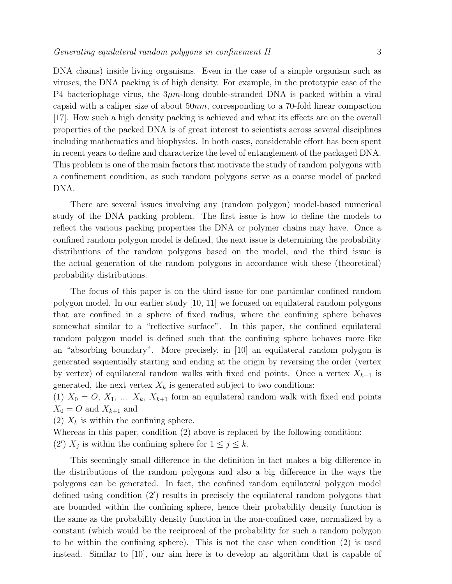DNA chains) inside living organisms. Even in the case of a simple organism such as viruses, the DNA packing is of high density. For example, in the prototypic case of the P4 bacteriophage virus, the  $3\mu$ m-long double-stranded DNA is packed within a viral capsid with a caliper size of about  $50nm$ , corresponding to a 70-fold linear compaction [17]. How such a high density packing is achieved and what its effects are on the overall properties of the packed DNA is of great interest to scientists across several disciplines including mathematics and biophysics. In both cases, considerable effort has been spent in recent years to define and characterize the level of entanglement of the packaged DNA. This problem is one of the main factors that motivate the study of random polygons with a confinement condition, as such random polygons serve as a coarse model of packed DNA.

There are several issues involving any (random polygon) model-based numerical study of the DNA packing problem. The first issue is how to define the models to reflect the various packing properties the DNA or polymer chains may have. Once a confined random polygon model is defined, the next issue is determining the probability distributions of the random polygons based on the model, and the third issue is the actual generation of the random polygons in accordance with these (theoretical) probability distributions.

The focus of this paper is on the third issue for one particular confined random polygon model. In our earlier study [10, 11] we focused on equilateral random polygons that are confined in a sphere of fixed radius, where the confining sphere behaves somewhat similar to a "reflective surface". In this paper, the confined equilateral random polygon model is defined such that the confining sphere behaves more like an "absorbing boundary". More precisely, in [10] an equilateral random polygon is generated sequentially starting and ending at the origin by reversing the order (vertex by vertex) of equilateral random walks with fixed end points. Once a vertex  $X_{k+1}$  is generated, the next vertex  $X_k$  is generated subject to two conditions:

(1)  $X_0 = O, X_1, \ldots X_k, X_{k+1}$  form an equilateral random walk with fixed end points  $X_0 = O$  and  $X_{k+1}$  and

(2)  $X_k$  is within the confining sphere.

Whereas in this paper, condition (2) above is replaced by the following condition: (2')  $X_j$  is within the confining sphere for  $1 \leq j \leq k$ .

This seemingly small difference in the definition in fact makes a big difference in the distributions of the random polygons and also a big difference in the ways the polygons can be generated. In fact, the confined random equilateral polygon model defined using condition  $(2')$  results in precisely the equilateral random polygons that are bounded within the confining sphere, hence their probability density function is the same as the probability density function in the non-confined case, normalized by a constant (which would be the reciprocal of the probability for such a random polygon to be within the confining sphere). This is not the case when condition (2) is used instead. Similar to [10], our aim here is to develop an algorithm that is capable of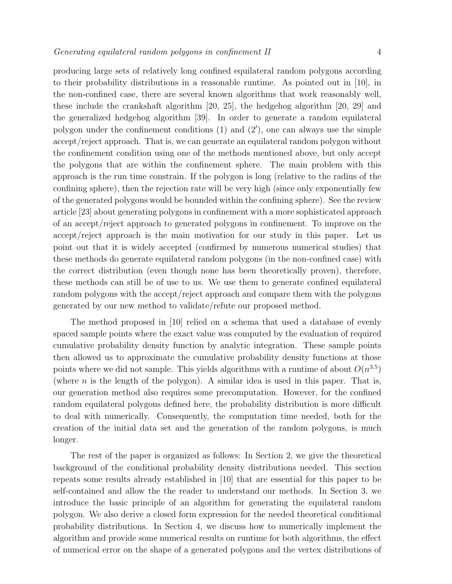producing large sets of relatively long confined equilateral random polygons according to their probability distributions in a reasonable runtime. As pointed out in [10], in the non-confined case, there are several known algorithms that work reasonably well, these include the crankshaft algorithm [20, 25], the hedgehog algorithm [20, 29] and the generalized hedgehog algorithm [39]. In order to generate a random equilateral polygon under the confinement conditions  $(1)$  and  $(2')$ , one can always use the simple accept/reject approach. That is, we can generate an equilateral random polygon without the confinement condition using one of the methods mentioned above, but only accept the polygons that are within the confinement sphere. The main problem with this approach is the run time constrain. If the polygon is long (relative to the radius of the confining sphere), then the rejection rate will be very high (since only exponentially few of the generated polygons would be bounded within the confining sphere). See the review article [23] about generating polygons in confinement with a more sophisticated approach of an accept/reject approach to generated polygons in confinement. To improve on the accept/reject approach is the main motivation for our study in this paper. Let us point out that it is widely accepted (confirmed by numerous numerical studies) that these methods do generate equilateral random polygons (in the non-confined case) with the correct distribution (even though none has been theoretically proven), therefore, these methods can still be of use to us. We use them to generate confined equilateral random polygons with the accept/reject approach and compare them with the polygons generated by our new method to validate/refute our proposed method.

The method proposed in [10] relied on a schema that used a database of evenly spaced sample points where the exact value was computed by the evaluation of required cumulative probability density function by analytic integration. These sample points then allowed us to approximate the cumulative probability density functions at those points where we did not sample. This yields algorithms with a runtime of about  $O(n^{3.5})$ (where  $n$  is the length of the polygon). A similar idea is used in this paper. That is, our generation method also requires some precomputation. However, for the confined random equilateral polygons defined here, the probability distribution is more difficult to deal with numerically. Consequently, the computation time needed, both for the creation of the initial data set and the generation of the random polygons, is much longer.

The rest of the paper is organized as follows: In Section 2, we give the theoretical background of the conditional probability density distributions needed. This section repeats some results already established in [10] that are essential for this paper to be self-contained and allow the the reader to understand our methods. In Section 3, we introduce the basic principle of an algorithm for generating the equilateral random polygon. We also derive a closed form expression for the needed theoretical conditional probability distributions. In Section 4, we discuss how to numerically implement the algorithm and provide some numerical results on runtime for both algorithms, the effect of numerical error on the shape of a generated polygons and the vertex distributions of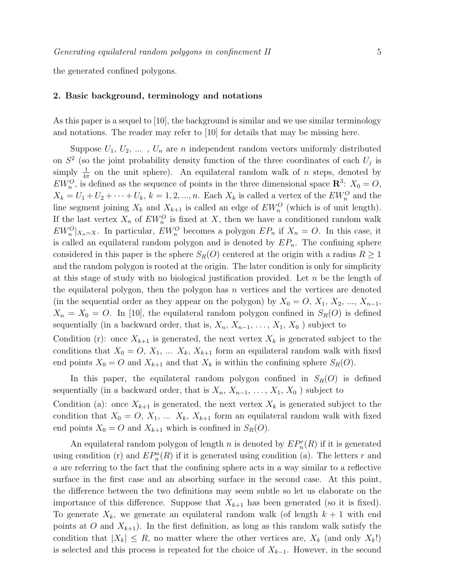the generated confined polygons.

#### 2. Basic background, terminology and notations

As this paper is a sequel to [10], the background is similar and we use similar terminology and notations. The reader may refer to [10] for details that may be missing here.

Suppose  $U_1, U_2, \ldots, U_n$  are *n* independent random vectors uniformly distributed on  $S<sup>2</sup>$  (so the joint probability density function of the three coordinates of each  $U_j$  is simply  $\frac{1}{4\pi}$  on the unit sphere). An equilateral random walk of *n* steps, denoted by  $EW_n^O$ , is defined as the sequence of points in the three dimensional space  $\mathbb{R}^3$ :  $X_0 = O$ ,  $X_k = U_1 + U_2 + \cdots + U_k$ ,  $k = 1, 2, ..., n$ . Each  $X_k$  is called a vertex of the  $EW_n^O$  and the line segment joining  $X_k$  and  $X_{k+1}$  is called an edge of  $EW_n^O$  (which is of unit length). If the last vertex  $X_n$  of  $EW_n^O$  is fixed at X, then we have a conditioned random walk  $EW_n^O|_{X_n=X}$ . In particular,  $EW_n^O$  becomes a polygon  $EP_n$  if  $X_n=O$ . In this case, it is called an equilateral random polygon and is denoted by  $EP_n$ . The confining sphere considered in this paper is the sphere  $S_R(O)$  centered at the origin with a radius  $R \geq 1$ and the random polygon is rooted at the origin. The later condition is only for simplicity at this stage of study with no biological justification provided. Let  $n$  be the length of the equilateral polygon, then the polygon has  $n$  vertices and the vertices are denoted (in the sequential order as they appear on the polygon) by  $X_0 = O, X_1, X_2, ..., X_{n-1}$ ,  $X_n = X_0 = O$ . In [10], the equilateral random polygon confined in  $S_R(O)$  is defined sequentially (in a backward order, that is,  $X_n, X_{n-1}, \ldots, X_1, X_0$ ) subject to Condition (r): once  $X_{k+1}$  is generated, the next vertex  $X_k$  is generated subject to the

conditions that  $X_0 = O, X_1, \ldots X_k, X_{k+1}$  form an equilateral random walk with fixed end points  $X_0 = O$  and  $X_{k+1}$  and that  $X_k$  is within the confining sphere  $S_R(O)$ .

In this paper, the equilateral random polygon confined in  $S_R(O)$  is defined sequentially (in a backward order, that is  $X_n$ ,  $X_{n-1}$ , ...,  $X_1$ ,  $X_0$ ) subject to Condition (a): once  $X_{k+1}$  is generated, the next vertex  $X_k$  is generated subject to the condition that  $X_0 = O, X_1, \ldots X_k, X_{k+1}$  form an equilateral random walk with fixed end points  $X_0 = O$  and  $X_{k+1}$  which is confined in  $S_R(O)$ .

An equilateral random polygon of length  $n$  is denoted by  $EP_n^r(R)$  if it is generated using condition (r) and  $EP_n^a(R)$  if it is generated using condition (a). The letters r and a are referring to the fact that the confining sphere acts in a way similar to a reflective surface in the first case and an absorbing surface in the second case. At this point, the difference between the two definitions may seem subtle so let us elaborate on the importance of this difference. Suppose that  $X_{k+1}$  has been generated (so it is fixed). To generate  $X_k$ , we generate an equilateral random walk (of length  $k+1$  with end points at O and  $X_{k+1}$ ). In the first definition, as long as this random walk satisfy the condition that  $|X_k| \leq R$ , no matter where the other vertices are,  $X_k$  (and only  $X_k$ !) is selected and this process is repeated for the choice of  $X_{k-1}$ . However, in the second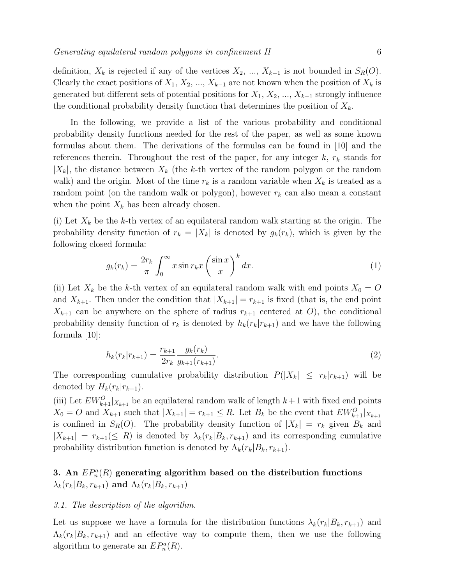definition,  $X_k$  is rejected if any of the vertices  $X_2, ..., X_{k-1}$  is not bounded in  $S_R(O)$ . Clearly the exact positions of  $X_1, X_2, ..., X_{k-1}$  are not known when the position of  $X_k$  is generated but different sets of potential positions for  $X_1, X_2, ..., X_{k-1}$  strongly influence the conditional probability density function that determines the position of  $X_k$ .

In the following, we provide a list of the various probability and conditional probability density functions needed for the rest of the paper, as well as some known formulas about them. The derivations of the formulas can be found in [10] and the references therein. Throughout the rest of the paper, for any integer  $k$ ,  $r_k$  stands for  $|X_k|$ , the distance between  $X_k$  (the k-th vertex of the random polygon or the random walk) and the origin. Most of the time  $r_k$  is a random variable when  $X_k$  is treated as a random point (on the random walk or polygon), however  $r_k$  can also mean a constant when the point  $X_k$  has been already chosen.

(i) Let  $X_k$  be the k-th vertex of an equilateral random walk starting at the origin. The probability density function of  $r_k = |X_k|$  is denoted by  $g_k(r_k)$ , which is given by the following closed formula:

$$
g_k(r_k) = \frac{2r_k}{\pi} \int_0^\infty x \sin r_k x \left(\frac{\sin x}{x}\right)^k dx.
$$
 (1)

(ii) Let  $X_k$  be the k-th vertex of an equilateral random walk with end points  $X_0 = O$ and  $X_{k+1}$ . Then under the condition that  $|X_{k+1}| = r_{k+1}$  is fixed (that is, the end point  $X_{k+1}$  can be anywhere on the sphere of radius  $r_{k+1}$  centered at O), the conditional probability density function of  $r_k$  is denoted by  $h_k(r_k|r_{k+1})$  and we have the following formula  $|10|$ :

$$
h_k(r_k|r_{k+1}) = \frac{r_{k+1}}{2r_k} \frac{g_k(r_k)}{g_{k+1}(r_{k+1})}.
$$
\n(2)

The corresponding cumulative probability distribution  $P(|X_k| \leq r_k|r_{k+1})$  will be denoted by  $H_k(r_k|r_{k+1}).$ 

(iii) Let  $EW_{k+1}^O|_{X_{k+1}}$  be an equilateral random walk of length  $k+1$  with fixed end points  $X_0 = O$  and  $X_{k+1}$  such that  $|X_{k+1}| = r_{k+1} \leq R$ . Let  $B_k$  be the event that  $EW_{k+1}^O|_{X_{k+1}}$ is confined in  $S_R(O)$ . The probability density function of  $|X_k| = r_k$  given  $B_k$  and  $|X_{k+1}| = r_{k+1}(\leq R)$  is denoted by  $\lambda_k(r_k|B_k, r_{k+1})$  and its corresponding cumulative probability distribution function is denoted by  $\Lambda_k(r_k|B_k, r_{k+1})$ .

### 3. An  $EP_n^a(R)$  generating algorithm based on the distribution functions  $\lambda_k(r_k|B_k, r_{k+1})$  and  $\Lambda_k(r_k|B_k, r_{k+1})$

#### 3.1. The description of the algorithm.

Let us suppose we have a formula for the distribution functions  $\lambda_k(r_k|B_k, r_{k+1})$  and  $\Lambda_k(r_k|B_k, r_{k+1})$  and an effective way to compute them, then we use the following algorithm to generate an  $EP_n^a(R)$ .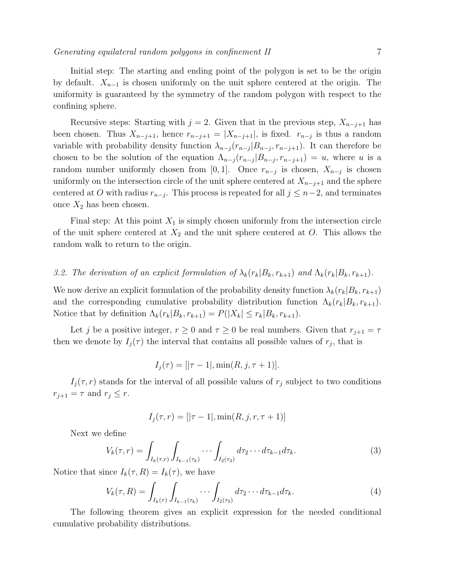Initial step: The starting and ending point of the polygon is set to be the origin by default.  $X_{n-1}$  is chosen uniformly on the unit sphere centered at the origin. The uniformity is guaranteed by the symmetry of the random polygon with respect to the confining sphere.

Recursive steps: Starting with  $j = 2$ . Given that in the previous step,  $X_{n-j+1}$  has been chosen. Thus  $X_{n-j+1}$ , hence  $r_{n-j+1} = |X_{n-j+1}|$ , is fixed.  $r_{n-j}$  is thus a random variable with probability density function  $\lambda_{n-j}(r_{n-j}|B_{n-j},r_{n-j+1})$ . It can therefore be chosen to be the solution of the equation  $\Lambda_{n-j}(r_{n-j}|B_{n-j},r_{n-j+1}) = u$ , where u is a random number uniformly chosen from [0,1]. Once  $r_{n-j}$  is chosen,  $X_{n-j}$  is chosen uniformly on the intersection circle of the unit sphere centered at  $X_{n-j+1}$  and the sphere centered at O with radius  $r_{n-j}$ . This process is repeated for all  $j \leq n-2$ , and terminates once  $X_2$  has been chosen.

Final step: At this point  $X_1$  is simply chosen uniformly from the intersection circle of the unit sphere centered at  $X_2$  and the unit sphere centered at O. This allows the random walk to return to the origin.

## 3.2. The derivation of an explicit formulation of  $\lambda_k(r_k|B_k, r_{k+1})$  and  $\Lambda_k(r_k|B_k, r_{k+1})$ .

We now derive an explicit formulation of the probability density function  $\lambda_k(r_k|B_k, r_{k+1})$ and the corresponding cumulative probability distribution function  $\Lambda_k(r_k|B_k, r_{k+1})$ . Notice that by definition  $\Lambda_k(r_k|B_k, r_{k+1}) = P(|X_k| \le r_k|B_k, r_{k+1}).$ 

Let j be a positive integer,  $r \geq 0$  and  $\tau \geq 0$  be real numbers. Given that  $r_{j+1} = \tau$ then we denote by  $I_j(\tau)$  the interval that contains all possible values of  $r_j$ , that is

$$
I_j(\tau) = [|\tau - 1|, \min(R, j, \tau + 1)].
$$

 $I_j(\tau, r)$  stands for the interval of all possible values of  $r_j$  subject to two conditions  $r_{j+1} = \tau$  and  $r_j \leq r$ .

$$
I_j(\tau, r) = [|\tau - 1|, \min(R, j, r, \tau + 1)]
$$

Next we define

$$
V_k(\tau, r) = \int_{I_k(\tau, r)} \int_{I_{k-1}(\tau_k)} \cdots \int_{I_2(\tau_3)} d\tau_2 \cdots d\tau_{k-1} d\tau_k.
$$
 (3)

Notice that since  $I_k(\tau, R) = I_k(\tau)$ , we have

$$
V_k(\tau, R) = \int_{I_k(\tau)} \int_{I_{k-1}(\tau_k)} \cdots \int_{I_2(\tau_3)} d\tau_2 \cdots d\tau_{k-1} d\tau_k.
$$
 (4)

The following theorem gives an explicit expression for the needed conditional cumulative probability distributions.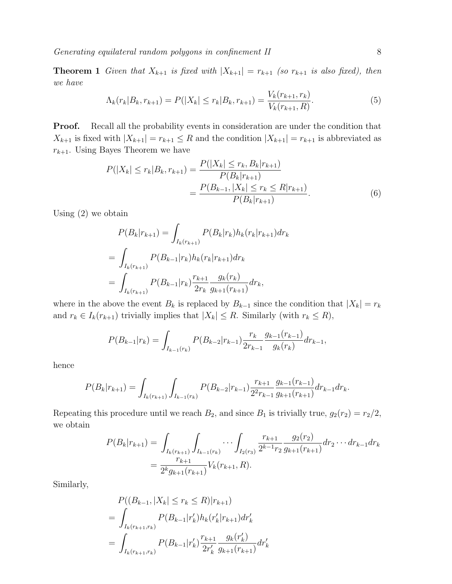Generating equilateral random polygons in confinement II 8

**Theorem 1** Given that  $X_{k+1}$  is fixed with  $|X_{k+1}| = r_{k+1}$  (so  $r_{k+1}$  is also fixed), then we have

$$
\Lambda_k(r_k|B_k, r_{k+1}) = P(|X_k| \le r_k|B_k, r_{k+1}) = \frac{V_k(r_{k+1}, r_k)}{V_k(r_{k+1}, R)}.
$$
\n(5)

**Proof.** Recall all the probability events in consideration are under the condition that  $X_{k+1}$  is fixed with  $|X_{k+1}| = r_{k+1} \leq R$  and the condition  $|X_{k+1}| = r_{k+1}$  is abbreviated as  $r_{k+1}$ . Using Bayes Theorem we have

$$
P(|X_k| \le r_k | B_k, r_{k+1}) = \frac{P(|X_k| \le r_k, B_k | r_{k+1})}{P(B_k | r_{k+1})}
$$
  
= 
$$
\frac{P(B_{k-1}, |X_k| \le r_k \le R | r_{k+1})}{P(B_k | r_{k+1})}.
$$
 (6)

Using (2) we obtain

$$
P(B_k|r_{k+1}) = \int_{I_k(r_{k+1})} P(B_k|r_k)h_k(r_k|r_{k+1})dr_k
$$
  
= 
$$
\int_{I_k(r_{k+1})} P(B_{k-1}|r_k)h_k(r_k|r_{k+1})dr_k
$$
  
= 
$$
\int_{I_k(r_{k+1})} P(B_{k-1}|r_k) \frac{r_{k+1}}{2r_k} \frac{g_k(r_k)}{g_{k+1}(r_{k+1})} dr_k,
$$

where in the above the event  $B_k$  is replaced by  $B_{k-1}$  since the condition that  $|X_k| = r_k$ and  $r_k \in I_k(r_{k+1})$  trivially implies that  $|X_k| \leq R$ . Similarly (with  $r_k \leq R$ ),

$$
P(B_{k-1}|r_k) = \int_{I_{k-1}(r_k)} P(B_{k-2}|r_{k-1}) \frac{r_k}{2r_{k-1}} \frac{g_{k-1}(r_{k-1})}{g_k(r_k)} dr_{k-1},
$$

hence

$$
P(B_k|r_{k+1}) = \int_{I_k(r_{k+1})} \int_{I_{k-1}(r_k)} P(B_{k-2}|r_{k-1}) \frac{r_{k+1}}{2^2 r_{k-1}} \frac{g_{k-1}(r_{k-1})}{g_{k+1}(r_{k+1})} dr_{k-1} dr_k.
$$

Repeating this procedure until we reach  $B_2$ , and since  $B_1$  is trivially true,  $g_2(r_2) = r_2/2$ , we obtain

$$
P(B_k|r_{k+1}) = \int_{I_k(r_{k+1})} \int_{I_{k-1}(r_k)} \cdots \int_{I_2(r_3)} \frac{r_{k+1}}{2^{k-1}r_2} \frac{g_2(r_2)}{g_{k+1}(r_{k+1})} dr_2 \cdots dr_{k-1} dr_k
$$
  
= 
$$
\frac{r_{k+1}}{2^k g_{k+1}(r_{k+1})} V_k(r_{k+1}, R).
$$

Similarly,

$$
P((B_{k-1}, |X_k| \le r_k \le R)|r_{k+1})
$$
  
= 
$$
\int_{I_k(r_{k+1}, r_k)} P(B_{k-1}|r'_k)h_k(r'_k|r_{k+1})dr'_k
$$
  
= 
$$
\int_{I_k(r_{k+1}, r_k)} P(B_{k-1}|r'_k) \frac{r_{k+1}}{2r'_k} \frac{g_k(r'_k)}{g_{k+1}(r_{k+1})} dr'_k
$$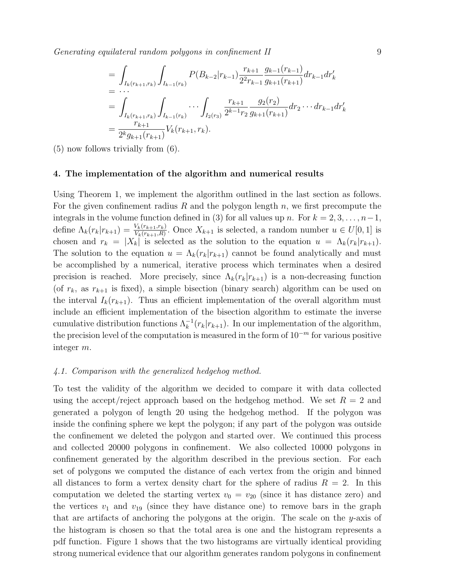Generating equilateral random polygons in confinement II 9

$$
= \int_{I_k(r_{k+1},r_k)} \int_{I_{k-1}(r_k)} P(B_{k-2}|r_{k-1}) \frac{r_{k+1}}{2^2 r_{k-1}} \frac{g_{k-1}(r_{k-1})}{g_{k+1}(r_{k+1})} dr_{k-1} dr'_k
$$
  
\n
$$
= \int_{I_k(r_{k+1},r_k)} \int_{I_{k-1}(r_k)} \cdots \int_{I_2(r_3)} \frac{r_{k+1}}{2^{k-1} r_2} \frac{g_2(r_2)}{g_{k+1}(r_{k+1})} dr_2 \cdots dr_{k-1} dr'_k
$$
  
\n
$$
= \frac{r_{k+1}}{2^k g_{k+1}(r_{k+1})} V_k(r_{k+1},r_k).
$$

(5) now follows trivially from (6).

#### 4. The implementation of the algorithm and numerical results

Using Theorem 1, we implement the algorithm outlined in the last section as follows. For the given confinement radius R and the polygon length  $n$ , we first precompute the integrals in the volume function defined in (3) for all values up n. For  $k = 2, 3, \ldots, n-1$ , define  $\Lambda_k(r_k|r_{k+1}) = \frac{V_k(r_{k+1},r_k)}{V_k(r_{k+1},R)}$ . Once  $X_{k+1}$  is selected, a random number  $u \in U[0,1]$  is chosen and  $r_k = |X_k|$  is selected as the solution to the equation  $u = \Lambda_k(r_k|r_{k+1})$ . The solution to the equation  $u = \Lambda_k(r_k|r_{k+1})$  cannot be found analytically and must be accomplished by a numerical, iterative process which terminates when a desired precision is reached. More precisely, since  $\Lambda_k(r_k|r_{k+1})$  is a non-decreasing function (of  $r_k$ , as  $r_{k+1}$  is fixed), a simple bisection (binary search) algorithm can be used on the interval  $I_k(r_{k+1})$ . Thus an efficient implementation of the overall algorithm must include an efficient implementation of the bisection algorithm to estimate the inverse cumulative distribution functions  $\Lambda_k^{-1}(r_k|r_{k+1})$ . In our implementation of the algorithm, the precision level of the computation is measured in the form of  $10^{-m}$  for various positive integer m.

#### 4.1. Comparison with the generalized hedgehog method.

To test the validity of the algorithm we decided to compare it with data collected using the accept/reject approach based on the hedgehog method. We set  $R = 2$  and generated a polygon of length 20 using the hedgehog method. If the polygon was inside the confining sphere we kept the polygon; if any part of the polygon was outside the confinement we deleted the polygon and started over. We continued this process and collected 20000 polygons in confinement. We also collected 10000 polygons in confinement generated by the algorithm described in the previous section. For each set of polygons we computed the distance of each vertex from the origin and binned all distances to form a vertex density chart for the sphere of radius  $R = 2$ . In this computation we deleted the starting vertex  $v_0 = v_{20}$  (since it has distance zero) and the vertices  $v_1$  and  $v_{19}$  (since they have distance one) to remove bars in the graph that are artifacts of anchoring the polygons at the origin. The scale on the y-axis of the histogram is chosen so that the total area is one and the histogram represents a pdf function. Figure 1 shows that the two histograms are virtually identical providing strong numerical evidence that our algorithm generates random polygons in confinement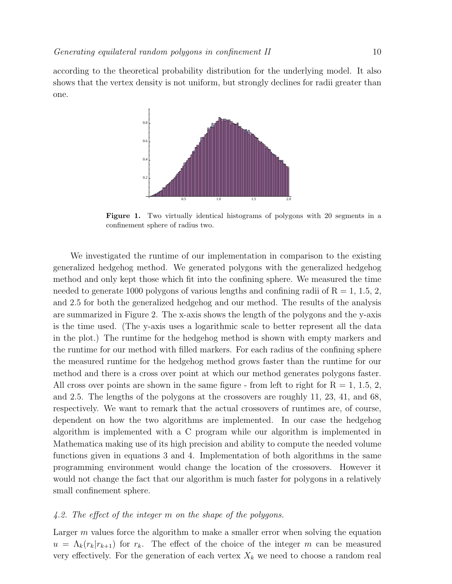according to the theoretical probability distribution for the underlying model. It also shows that the vertex density is not uniform, but strongly declines for radii greater than one.



Figure 1. Two virtually identical histograms of polygons with 20 segments in a confinement sphere of radius two.

We investigated the runtime of our implementation in comparison to the existing generalized hedgehog method. We generated polygons with the generalized hedgehog method and only kept those which fit into the confining sphere. We measured the time needed to generate 1000 polygons of various lengths and confining radii of  $R = 1, 1.5, 2$ , and 2.5 for both the generalized hedgehog and our method. The results of the analysis are summarized in Figure 2. The x-axis shows the length of the polygons and the y-axis is the time used. (The y-axis uses a logarithmic scale to better represent all the data in the plot.) The runtime for the hedgehog method is shown with empty markers and the runtime for our method with filled markers. For each radius of the confining sphere the measured runtime for the hedgehog method grows faster than the runtime for our method and there is a cross over point at which our method generates polygons faster. All cross over points are shown in the same figure - from left to right for  $R = 1, 1.5, 2$ , and 2.5. The lengths of the polygons at the crossovers are roughly 11, 23, 41, and 68, respectively. We want to remark that the actual crossovers of runtimes are, of course, dependent on how the two algorithms are implemented. In our case the hedgehog algorithm is implemented with a C program while our algorithm is implemented in Mathematica making use of its high precision and ability to compute the needed volume functions given in equations 3 and 4. Implementation of both algorithms in the same programming environment would change the location of the crossovers. However it would not change the fact that our algorithm is much faster for polygons in a relatively small confinement sphere.

#### 4.2. The effect of the integer m on the shape of the polygons.

Larger  $m$  values force the algorithm to make a smaller error when solving the equation  $u = \Lambda_k(r_k|r_{k+1})$  for  $r_k$ . The effect of the choice of the integer m can be measured very effectively. For the generation of each vertex  $X_k$  we need to choose a random real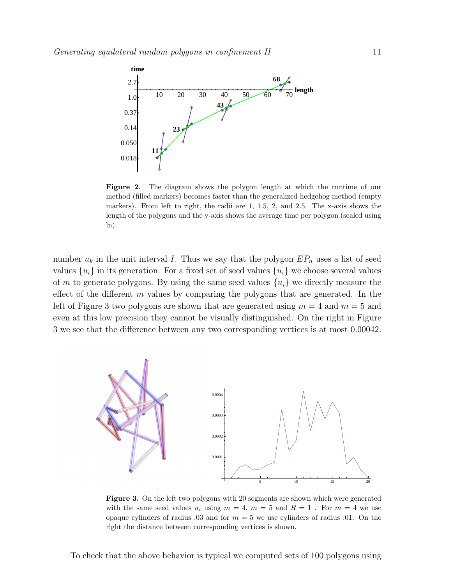

Figure 2. The diagram shows the polygon length at which the runtime of our method (filled markers) becomes faster than the generalized hedgehog method (empty markers). From left to right, the radii are 1, 1.5, 2, and 2.5. The x-axis shows the length of the polygons and the y-axis shows the average time per polygon (scaled using ln).

number  $u_k$  in the unit interval I. Thus we say that the polygon  $EP_n$  uses a list of seed values  $\{u_i\}$  in its generation. For a fixed set of seed values  $\{u_i\}$  we choose several values of m to generate polygons. By using the same seed values  $\{u_i\}$  we directly measure the effect of the different  $m$  values by comparing the polygons that are generated. In the left of Figure 3 two polygons are shown that are generated using  $m = 4$  and  $m = 5$  and even at this low precision they cannot be visually distinguished. On the right in Figure 3 we see that the difference between any two corresponding vertices is at most 0.00042.



Figure 3. On the left two polygons with 20 segments are shown which were generated with the same seed values  $u_i$  using  $m = 4$ ,  $m = 5$  and  $R = 1$ . For  $m = 4$  we use opaque cylinders of radius .03 and for  $m = 5$  we use cylinders of radius .01. On the right the distance between corresponding vertices is shown.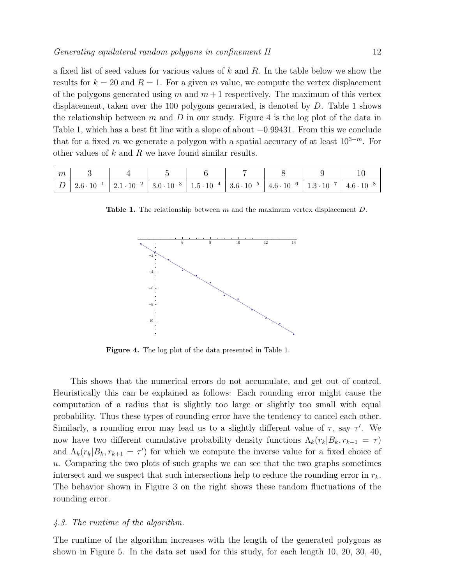a fixed list of seed values for various values of k and R. In the table below we show the results for  $k = 20$  and  $R = 1$ . For a given m value, we compute the vertex displacement of the polygons generated using m and  $m+1$  respectively. The maximum of this vertex displacement, taken over the 100 polygons generated, is denoted by D. Table 1 shows the relationship between m and D in our study. Figure 4 is the log plot of the data in Table 1, which has a best fit line with a slope of about  $-0.99431$ . From this we conclude that for a fixed m we generate a polygon with a spatial accuracy of at least  $10^{3-m}$ . For other values of  $k$  and  $R$  we have found similar results.

| m |  |                                                                                                                                                                                                       |  |  |
|---|--|-------------------------------------------------------------------------------------------------------------------------------------------------------------------------------------------------------|--|--|
|   |  | $\mid D \mid 2.6 \cdot 10^{-1} \mid 2.1 \cdot 10^{-2} \mid 3.0 \cdot 10^{-3} \mid 1.5 \cdot 10^{-4} \mid 3.6 \cdot 10^{-5} \mid 4.6 \cdot 10^{-6} \mid 1.3 \cdot 10^{-7} \mid 4.6 \cdot 10^{-8} \mid$ |  |  |

**Table 1.** The relationship between m and the maximum vertex displacement  $D$ .



Figure 4. The log plot of the data presented in Table 1.

This shows that the numerical errors do not accumulate, and get out of control. Heuristically this can be explained as follows: Each rounding error might cause the computation of a radius that is slightly too large or slightly too small with equal probability. Thus these types of rounding error have the tendency to cancel each other. Similarly, a rounding error may lead us to a slightly different value of  $\tau$ , say  $\tau'$ . We now have two different cumulative probability density functions  $\Lambda_k(r_k|B_k, r_{k+1} = \tau)$ and  $\Lambda_k(r_k|B_k, r_{k+1} = \tau')$  for which we compute the inverse value for a fixed choice of u. Comparing the two plots of such graphs we can see that the two graphs sometimes intersect and we suspect that such intersections help to reduce the rounding error in  $r_k$ . The behavior shown in Figure 3 on the right shows these random fluctuations of the rounding error.

#### 4.3. The runtime of the algorithm.

The runtime of the algorithm increases with the length of the generated polygons as shown in Figure 5. In the data set used for this study, for each length 10, 20, 30, 40,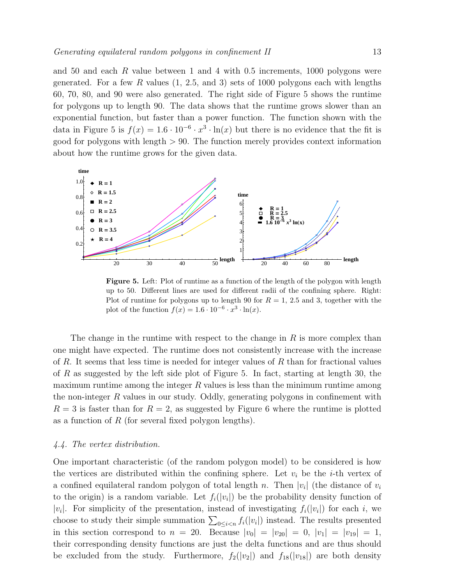and 50 and each  $R$  value between 1 and 4 with 0.5 increments, 1000 polygons were generated. For a few R values  $(1, 2.5, \text{ and } 3)$  sets of 1000 polygons each with lengths 60, 70, 80, and 90 were also generated. The right side of Figure 5 shows the runtime for polygons up to length 90. The data shows that the runtime grows slower than an exponential function, but faster than a power function. The function shown with the data in Figure 5 is  $f(x) = 1.6 \cdot 10^{-6} \cdot x^3 \cdot \ln(x)$  but there is no evidence that the fit is good for polygons with length  $> 90$ . The function merely provides context information about how the runtime grows for the given data.



Figure 5. Left: Plot of runtime as a function of the length of the polygon with length up to 50. Different lines are used for different radii of the confining sphere. Right: Plot of runtime for polygons up to length 90 for  $R = 1, 2.5$  and 3, together with the plot of the function  $f(x) = 1.6 \cdot 10^{-6} \cdot x^3 \cdot \ln(x)$ .

The change in the runtime with respect to the change in  $R$  is more complex than one might have expected. The runtime does not consistently increase with the increase of R. It seems that less time is needed for integer values of R than for fractional values of R as suggested by the left side plot of Figure 5. In fact, starting at length 30, the maximum runtime among the integer  $R$  values is less than the minimum runtime among the non-integer  $R$  values in our study. Oddly, generating polygons in confinement with  $R = 3$  is faster than for  $R = 2$ , as suggested by Figure 6 where the runtime is plotted as a function of  $R$  (for several fixed polygon lengths).

#### 4.4. The vertex distribution.

One important characteristic (of the random polygon model) to be considered is how the vertices are distributed within the confining sphere. Let  $v_i$  be the *i*-th vertex of a confined equilateral random polygon of total length n. Then  $|v_i|$  (the distance of  $v_i$ to the origin) is a random variable. Let  $f_i(|v_i|)$  be the probability density function of |v<sub>i</sub>|. For simplicity of the presentation, instead of investigating  $f_i(|v_i|)$  for each i, we choose to study their simple summation  $\sum_{0 \leq i < n} f_i(|v_i|)$  instead. The results presented in this section correspond to  $n = 20$ . Because  $|v_0| = |v_{20}| = 0$ ,  $|v_1| = |v_{19}| = 1$ , their corresponding density functions are just the delta functions and are thus should be excluded from the study. Furthermore,  $f_2(|v_2|)$  and  $f_{18}(|v_{18}|)$  are both density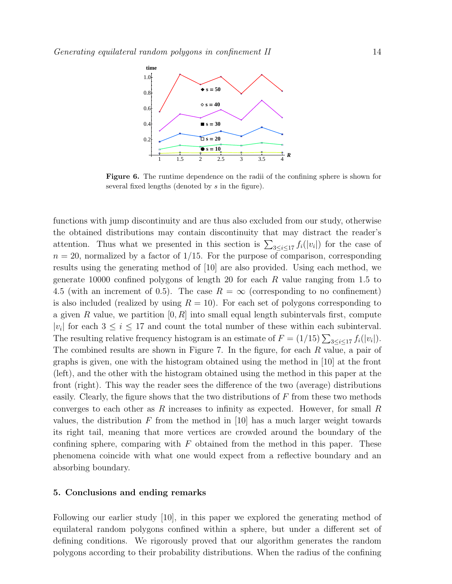

Figure 6. The runtime dependence on the radii of the confining sphere is shown for several fixed lengths (denoted by s in the figure).

functions with jump discontinuity and are thus also excluded from our study, otherwise the obtained distributions may contain discontinuity that may distract the reader's attention. Thus what we presented in this section is  $\sum_{3 \leq i \leq 17} f_i(|v_i|)$  for the case of  $n = 20$ , normalized by a factor of  $1/15$ . For the purpose of comparison, corresponding results using the generating method of [10] are also provided. Using each method, we generate 10000 confined polygons of length 20 for each  $R$  value ranging from 1.5 to 4.5 (with an increment of 0.5). The case  $R = \infty$  (corresponding to no confinement) is also included (realized by using  $R = 10$ ). For each set of polygons corresponding to a given R value, we partition  $[0, R]$  into small equal length subintervals first, compute | $|v_i|$  for each  $3 \leq i \leq 17$  and count the total number of these within each subinterval. The resulting relative frequency histogram is an estimate of  $F = (1/15) \sum_{3 \leq i \leq 17} f_i(|v_i|)$ . The combined results are shown in Figure 7. In the figure, for each R value, a pair of graphs is given, one with the histogram obtained using the method in [10] at the front (left), and the other with the histogram obtained using the method in this paper at the front (right). This way the reader sees the difference of the two (average) distributions easily. Clearly, the figure shows that the two distributions of  $F$  from these two methods converges to each other as  $R$  increases to infinity as expected. However, for small  $R$ values, the distribution F from the method in [10] has a much larger weight towards its right tail, meaning that more vertices are crowded around the boundary of the confining sphere, comparing with  $F$  obtained from the method in this paper. These phenomena coincide with what one would expect from a reflective boundary and an absorbing boundary.

#### 5. Conclusions and ending remarks

Following our earlier study [10], in this paper we explored the generating method of equilateral random polygons confined within a sphere, but under a different set of defining conditions. We rigorously proved that our algorithm generates the random polygons according to their probability distributions. When the radius of the confining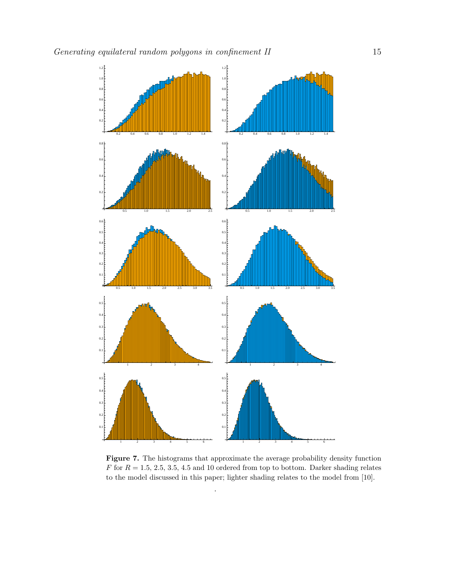

Figure 7. The histograms that approximate the average probability density function  $F$  for  $R = 1.5, 2.5, 3.5, 4.5$  and 10 ordered from top to bottom. Darker shading relates to the model discussed in this paper; lighter shading relates to the model from [10].

.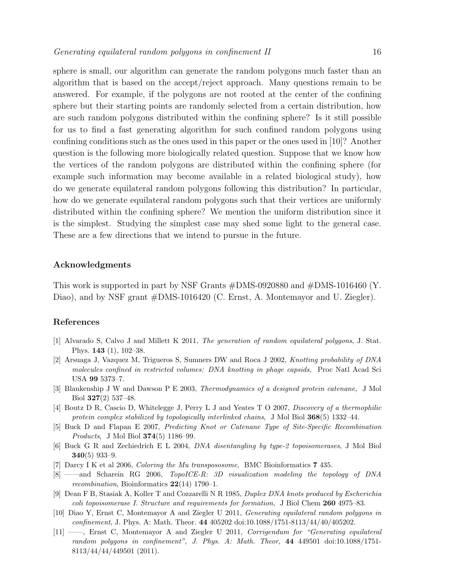sphere is small, our algorithm can generate the random polygons much faster than an algorithm that is based on the accept/reject approach. Many questions remain to be answered. For example, if the polygons are not rooted at the center of the confining sphere but their starting points are randomly selected from a certain distribution, how are such random polygons distributed within the confining sphere? Is it still possible for us to find a fast generating algorithm for such confined random polygons using confining conditions such as the ones used in this paper or the ones used in [10]? Another question is the following more biologically related question. Suppose that we know how the vertices of the random polygons are distributed within the confining sphere (for example such information may become available in a related biological study), how do we generate equilateral random polygons following this distribution? In particular, how do we generate equilateral random polygons such that their vertices are uniformly distributed within the confining sphere? We mention the uniform distribution since it is the simplest. Studying the simplest case may shed some light to the general case. These are a few directions that we intend to pursue in the future.

#### Acknowledgments

This work is supported in part by NSF Grants #DMS-0920880 and #DMS-1016460 (Y. Diao), and by NSF grant #DMS-1016420 (C. Ernst, A. Montemayor and U. Ziegler).

#### References

- [1] Alvarado S, Calvo J and Millett K 2011, The generation of random equilateral polygons, J. Stat. Phys. 143 (1), 102–38.
- [2] Arsuaga J, Vazquez M, Trigueros S, Sumners DW and Roca J 2002, Knotting probability of DNA molecules confined in restricted volumes: DNA knotting in phage capsids, Proc Natl Acad Sci USA 99 5373–7.
- [3] Blankenship J W and Dawson P E 2003, Thermodynamics of a designed protein catenane, J Mol Biol  $327(2)$  537–48.
- [4] Boutz D R, Cascio D, Whitelegge J, Perry L J and Yeates T O 2007, Discovery of a thermophilic protein complex stabilized by topologically interlinked chains, J Mol Biol 368(5) 1332-44.
- [5] Buck D and Flapan E 2007, Predicting Knot or Catenane Type of Site-Specific Recombination Products, J Mol Biol 374(5) 1186–99.
- [6] Buck G R and Zechiedrich E L 2004, DNA disentangling by type-2 topoisomerases, J Mol Biol 340(5) 933–9.
- [7] Darcy I K et al 2006, Coloring the Mu transpososome, BMC Bioinformatics 7 435.
- [8] ——and Scharein RG 2006, TopoICE-R: 3D visualization modeling the topology of DNA recombination, Bioinformatics  $22(14)$  1790–1.
- [9] Dean F B, Stasiak A, Koller T and Cozzarelli N R 1985, Duplex DNA knots produced by Escherichia coli topoisomerase I. Structure and requirements for formation, J Biol Chem 260 4975–83.
- [10] Diao Y, Ernst C, Montemayor A and Ziegler U 2011, Generating equilateral random polygons in confinement, J. Phys. A: Math. Theor. 44 405202 doi:10.1088/1751-8113/44/40/405202.
- [11] ——, Ernst C, Montemayor A and Ziegler U 2011, Corrigendum for "Generating equilateral random polygons in confinement", J. Phys. A: Math. Theor, 44 449501 doi:10.1088/1751- 8113/44/44/449501 (2011).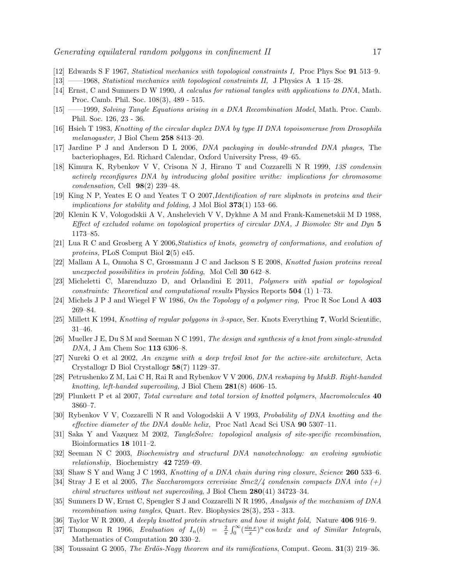- [12] Edwards S F 1967, Statistical mechanics with topological constraints I, Proc Phys Soc 91 513–9.
- [13] ——1968, Statistical mechanics with topological constraints II, J Physics A 1 15–28.
- [14] Ernst, C and Sumners D W 1990, A calculus for rational tangles with applications to DNA, Math. Proc. Camb. Phil. Soc. 108(3), 489 - 515.
- [15] ——1999, Solving Tangle Equations arising in a DNA Recombination Model, Math. Proc. Camb. Phil. Soc. 126, 23 - 36.
- [16] Hsieh T 1983, Knotting of the circular duplex DNA by type II DNA topoisomerase from Drosophila melanogaster, J Biol Chem 258 8413–20.
- [17] Jardine P J and Anderson D L 2006, DNA packaging in double-stranded DNA phages, The bacteriophages, Ed. Richard Calendar, Oxford University Press, 49–65.
- [18] Kimura K, Rybenkov V V, Crisona N J, Hirano T and Cozzarelli N R 1999, 13S condensin actively reconfigures DNA by introducing global positive writhe: implications for chromosome condensation, Cell 98(2) 239–48.
- [19] King N P, Yeates E O and Yeates T O 2007,Identification of rare slipknots in proteins and their implications for stability and folding, J Mol Biol 373(1) 153–66.
- [20] Klenin K V, Vologodskii A V, Anshelevich V V, Dykhne A M and Frank-Kamenetskii M D 1988, Effect of excluded volume on topological properties of circular DNA, J Biomolec Str and Dyn 5 1173–85.
- [21] Lua R C and Grosberg A Y 2006,Statistics of knots, geometry of conformations, and evolution of proteins, PLoS Comput Biol 2(5) e45.
- [22] Mallam A L, Onuoha S C, Grossmann J C and Jackson S E 2008, Knotted fusion proteins reveal unexpected possibilities in protein folding, Mol Cell 30 642-8.
- [23] Micheletti C, Marenduzzo D, and Orlandini E 2011, Polymers with spatial or topological constraints: Theoretical and computational results Physics Reports  $504$  (1) 1–73.
- [24] Michels J P J and Wiegel F W 1986, On the Topology of a polymer ring, Proc R Soc Lond A 403 269–84.
- [25] Millett K 1994, Knotting of regular polygons in 3-space, Ser. Knots Everything 7, World Scientific, 31–46.
- [26] Mueller J E, Du S M and Seeman N C 1991, The design and synthesis of a knot from single-stranded DNA, J Am Chem Soc 113 6306–8.
- [27] Nureki O et al 2002, An enzyme with a deep trefoil knot for the active-site architecture, Acta Crystallogr D Biol Crystallogr 58(7) 1129–37.
- [28] Petrushenko Z M, Lai C H, Rai R and Rybenkov V V 2006, DNA reshaping by MukB. Right-handed knotting, left-handed supercoiling, J Biol Chem  $281(8)$  4606–15.
- [29] Plunkett P et al 2007, Total curvature and total torsion of knotted polymers, Macromolecules 40 3860–7.
- [30] Rybenkov V V, Cozzarelli N R and Vologodskii A V 1993, Probability of DNA knotting and the effective diameter of the DNA double helix, Proc Natl Acad Sci USA 90 5307–11.
- [31] Saka Y and Vazquez M 2002, TangleSolve: topological analysis of site-specific recombination, Bioinformatics 18 1011–2.
- [32] Seeman N C 2003, Biochemistry and structural DNA nanotechnology: an evolving symbiotic relationship, Biochemistry 42 7259–69.
- [33] Shaw S Y and Wang J C 1993, Knotting of a DNA chain during ring closure, Science 260 533–6.
- [34] Stray J E et al 2005, The Saccharomyces cerevisiae  $Smc2/4$  condensin compacts DNA into  $(+)$ chiral structures without net supercoiling, J Biol Chem 280(41) 34723–34.
- [35] Sumners D W, Ernst C, Spengler S J and Cozzarelli N R 1995, Analysis of the mechanism of DNA recombination using tangles, Quart. Rev. Biophysics 28(3), 253 - 313.
- [36] Taylor W R 2000, A deeply knotted protein structure and how it might fold, Nature 406 916–9.
- [37] Thompson R 1966, Evaluation of  $I_n(b) = \frac{2}{\pi} \int_0^\infty (\frac{\sin x}{x})^n \cos bx dx$  and of Similar Integrals, Mathematics of Computation 20 330–2.
- [38] Toussaint G 2005, The Erdös-Nagy theorem and its ramifications, Comput. Geom.  $31(3)$  219–36.